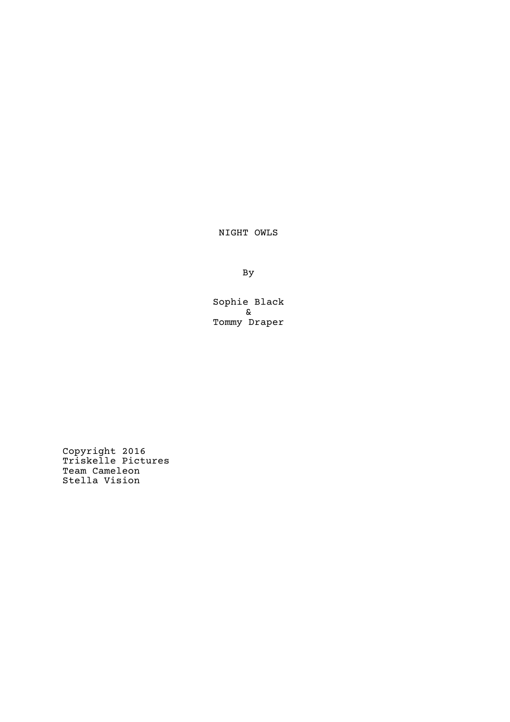NIGHT OWLS

By

Sophie Black & Tommy Draper

Copyright 2016 Triskelle Pictures Team Cameleon Stella Vision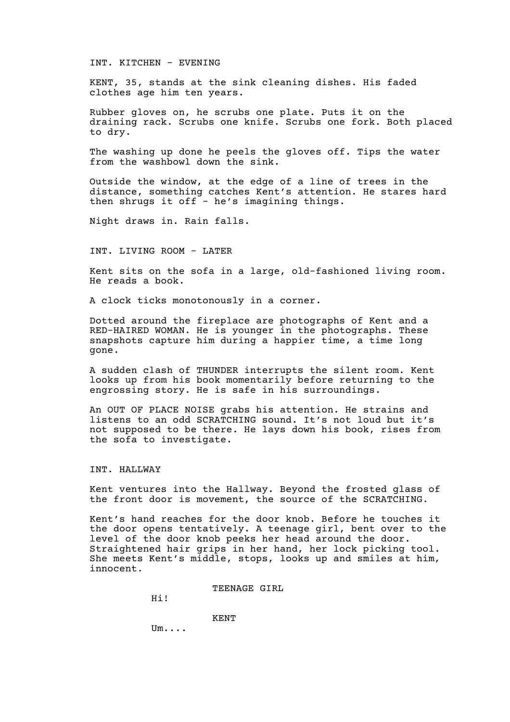INT. KITCHEN - EVENING

KENT, 35, stands at the sink cleaning dishes. His faded clothes age him ten years.

Rubber gloves on, he scrubs one plate. Puts it on the draining rack. Scrubs one knife. Scrubs one fork. Both placed to dry.

The washing up done he peels the gloves off. Tips the water from the washbowl down the sink.

Outside the window, at the edge of a line of trees in the distance, something catches Kent's attention. He stares hard then shrugs it off - he's imagining things.

Night draws in. Rain falls.

#### INT. LIVING ROOM - LATER

Kent sits on the sofa in a large, old-fashioned living room. He reads a book.

A clock ticks monotonously in a corner.

Dotted around the fireplace are photographs of Kent and a RED-HAIRED WOMAN. He is younger in the photographs. These snapshots capture him during a happier time, a time long gone.

A sudden clash of THUNDER interrupts the silent room. Kent looks up from his book momentarily before returning to the engrossing story. He is safe in his surroundings.

An OUT OF PLACE NOISE grabs his attention. He strains and listens to an odd SCRATCHING sound. It's not loud but it's not supposed to be there. He lays down his book, rises from the sofa to investigate.

### INT. HALLWAY

Kent ventures into the Hallway. Beyond the frosted glass of the front door is movement, the source of the SCRATCHING.

Kent's hand reaches for the door knob. Before he touches it the door opens tentatively. A teenage girl, bent over to the level of the door knob peeks her head around the door. Straightened hair grips in her hand, her lock picking tool. She meets Kent's middle, stops, looks up and smiles at him, innocent.

TEENAGE GIRL

Hi!

KENT

Um....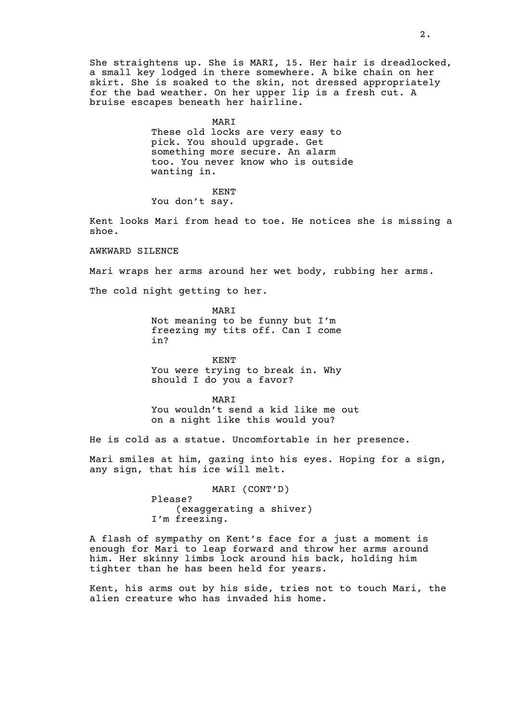She straightens up. She is MARI, 15. Her hair is dreadlocked, a small key lodged in there somewhere. A bike chain on her skirt. She is soaked to the skin, not dressed appropriately for the bad weather. On her upper lip is a fresh cut. A bruise escapes beneath her hairline.

MARI

These old locks are very easy to pick. You should upgrade. Get something more secure. An alarm too. You never know who is outside wanting in.

KENT

You don't say.

Kent looks Mari from head to toe. He notices she is missing a shoe.

AWKWARD SILENCE

Mari wraps her arms around her wet body, rubbing her arms.

The cold night getting to her.

MARI Not meaning to be funny but I'm freezing my tits off. Can I come in?

KENT You were trying to break in. Why should I do you a favor?

MARI You wouldn't send a kid like me out on a night like this would you?

He is cold as a statue. Uncomfortable in her presence.

Mari smiles at him, gazing into his eyes. Hoping for a sign, any sign, that his ice will melt.

> MARI (CONT'D) Please? (exaggerating a shiver) I'm freezing.

A flash of sympathy on Kent's face for a just a moment is enough for Mari to leap forward and throw her arms around him. Her skinny limbs lock around his back, holding him tighter than he has been held for years.

Kent, his arms out by his side, tries not to touch Mari, the alien creature who has invaded his home.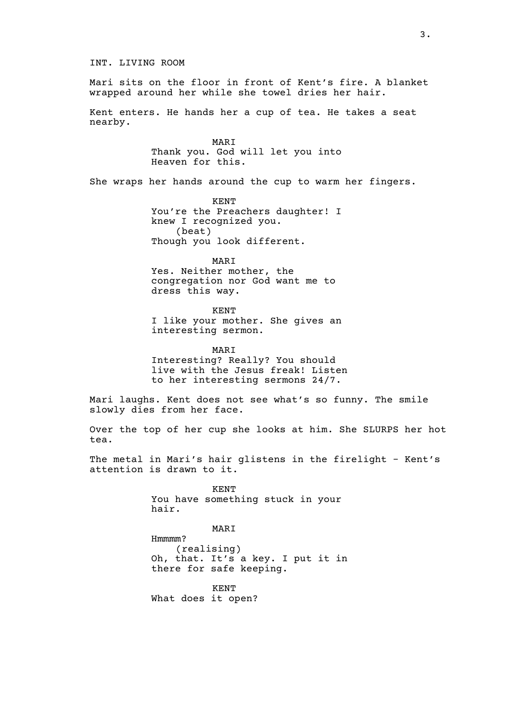INT. LIVING ROOM

Mari sits on the floor in front of Kent's fire. A blanket wrapped around her while she towel dries her hair.

Kent enters. He hands her a cup of tea. He takes a seat nearby.

> MARI Thank you. God will let you into Heaven for this.

She wraps her hands around the cup to warm her fingers.

KENT You're the Preachers daughter! I knew I recognized you. (beat) Though you look different.

MARI Yes. Neither mother, the congregation nor God want me to dress this way.

KENT I like your mother. She gives an interesting sermon.

MARI Interesting? Really? You should live with the Jesus freak! Listen to her interesting sermons 24/7.

Mari laughs. Kent does not see what's so funny. The smile slowly dies from her face.

Over the top of her cup she looks at him. She SLURPS her hot tea.

The metal in Mari's hair glistens in the firelight - Kent's attention is drawn to it.

> KENT You have something stuck in your hair.

> > MARI

Hmmmm? (realising) Oh, that. It's a key. I put it in there for safe keeping.

KENT What does it open?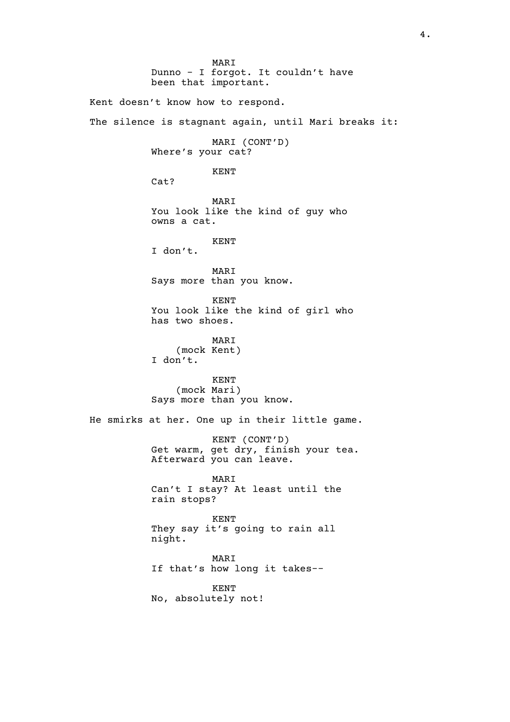MARI Dunno - I forgot. It couldn't have been that important. Kent doesn't know how to respond. The silence is stagnant again, until Mari breaks it: MARI (CONT'D) Where's your cat? KENT Cat? MARI You look like the kind of guy who owns a cat. KENT I don't. MARI Says more than you know. KENT You look like the kind of girl who has two shoes. MARI (mock Kent) I don't. KENT (mock Mari) Says more than you know. He smirks at her. One up in their little game. KENT (CONT'D) Get warm, get dry, finish your tea. Afterward you can leave. MARI Can't I stay? At least until the rain stops? KENT They say it's going to rain all night. MARI If that's how long it takes-- KENT No, absolutely not!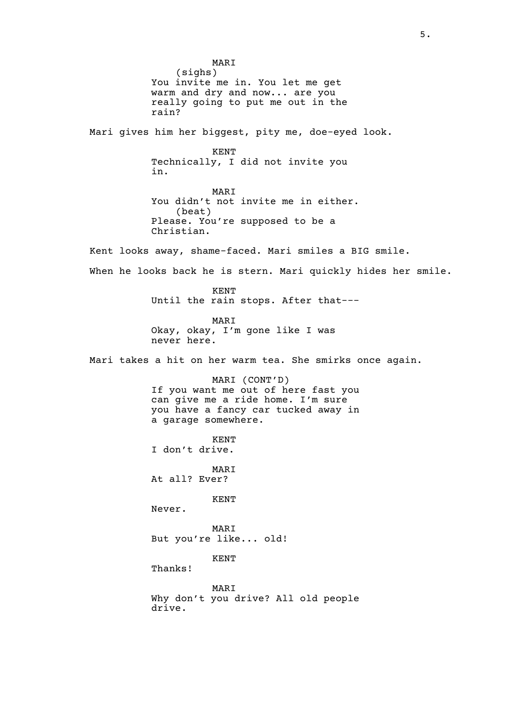MARI (sighs) You invite me in. You let me get warm and dry and now... are you really going to put me out in the rain? Mari gives him her biggest, pity me, doe-eyed look. KENT Technically, I did not invite you in. MARI You didn't not invite me in either. (beat) Please. You're supposed to be a Christian. Kent looks away, shame-faced. Mari smiles a BIG smile. When he looks back he is stern. Mari quickly hides her smile. KENT Until the rain stops. After that--- MARI Okay, okay, I'm gone like I was never here. Mari takes a hit on her warm tea. She smirks once again. MARI (CONT'D) If you want me out of here fast you can give me a ride home. I'm sure you have a fancy car tucked away in a garage somewhere. KENT I don't drive. MARI At all? Ever? KENT Never. MARI But you're like... old! KENT Thanks! MARI Why don't you drive? All old people drive.

5.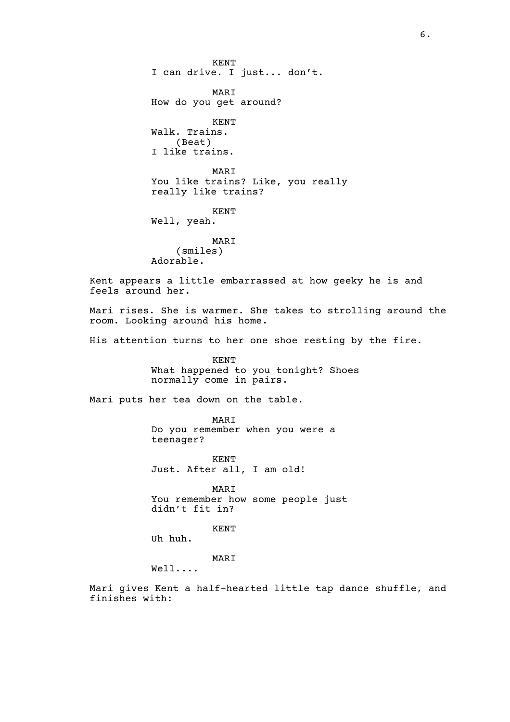KENT I can drive. I just... don't. MARI How do you get around? KENT Walk. Trains. (Beat) I like trains. MARI You like trains? Like, you really really like trains? KENT Well, yeah. MARI (smiles) Adorable. Kent appears a little embarrassed at how geeky he is and feels around her. Mari rises. She is warmer. She takes to strolling around the room. Looking around his home. His attention turns to her one shoe resting by the fire. KENT What happened to you tonight? Shoes normally come in pairs. Mari puts her tea down on the table. MARI Do you remember when you were a teenager? KENT Just. After all, I am old! MARI You remember how some people just didn't fit in? KENT Uh huh. MARI Well.... Mari gives Kent a half-hearted little tap dance shuffle, and finishes with: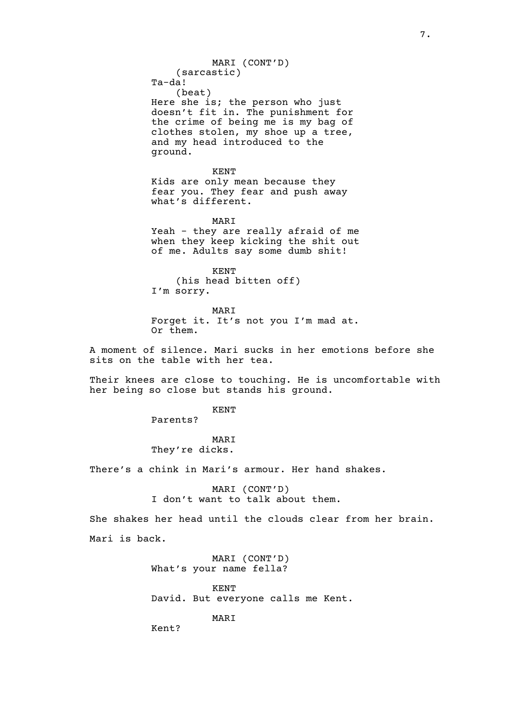Ta-da! (beat) Here she is; the person who just doesn't fit in. The punishment for the crime of being me is my bag of clothes stolen, my shoe up a tree, and my head introduced to the ground.

MARI (CONT'D)

(sarcastic)

KENT Kids are only mean because they fear you. They fear and push away what's different.

MARI Yeah - they are really afraid of me when they keep kicking the shit out of me. Adults say some dumb shit!

KENT (his head bitten off) I'm sorry.

MARI Forget it. It's not you I'm mad at. Or them.

A moment of silence. Mari sucks in her emotions before she sits on the table with her tea.

Their knees are close to touching. He is uncomfortable with her being so close but stands his ground.

KENT

Parents?

MARI They're dicks.

There's a chink in Mari's armour. Her hand shakes.

MARI (CONT'D) I don't want to talk about them.

She shakes her head until the clouds clear from her brain. Mari is back.

> MARI (CONT'D) What's your name fella?

KENT David. But everyone calls me Kent.

MARI

Kent?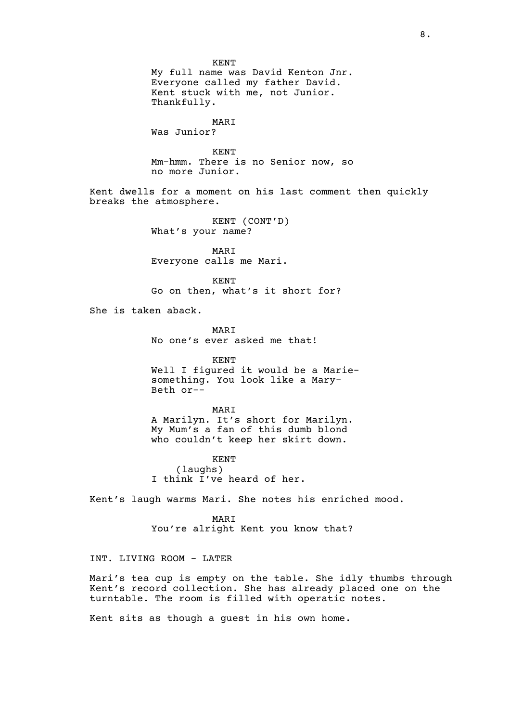KENT My full name was David Kenton Jnr. Everyone called my father David. Kent stuck with me, not Junior. Thankfully.

# MARI

Was Junior?

KENT Mm-hmm. There is no Senior now, so no more Junior.

Kent dwells for a moment on his last comment then quickly breaks the atmosphere.

> KENT (CONT'D) What's your name?

MARI Everyone calls me Mari.

KENT Go on then, what's it short for?

She is taken aback.

MARI No one's ever asked me that!

KENT Well I figured it would be a Mariesomething. You look like a Mary-Beth or--

MARI A Marilyn. It's short for Marilyn. My Mum's a fan of this dumb blond who couldn't keep her skirt down.

KENT (laughs) I think I've heard of her.

Kent's laugh warms Mari. She notes his enriched mood.

MARI You're alright Kent you know that?

# INT. LIVING ROOM - LATER

Mari's tea cup is empty on the table. She idly thumbs through Kent's record collection. She has already placed one on the turntable. The room is filled with operatic notes.

Kent sits as though a guest in his own home.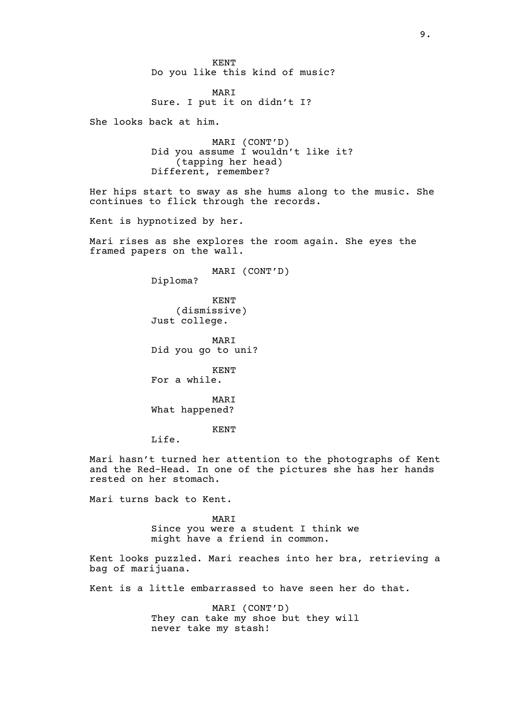KENT Do you like this kind of music?

MARI Sure. I put it on didn't I?

She looks back at him.

MARI (CONT'D) Did you assume I wouldn't like it? (tapping her head) Different, remember?

Her hips start to sway as she hums along to the music. She continues to flick through the records.

Kent is hypnotized by her.

Mari rises as she explores the room again. She eyes the framed papers on the wall.

MARI (CONT'D)

Diploma?

KENT (dismissive) Just college.

MARI Did you go to uni?

KENT For a while.

MARI What happened?

KENT

Life.

Mari hasn't turned her attention to the photographs of Kent and the Red-Head. In one of the pictures she has her hands rested on her stomach.

Mari turns back to Kent.

MARI Since you were a student I think we might have a friend in common.

Kent looks puzzled. Mari reaches into her bra, retrieving a bag of marijuana.

Kent is a little embarrassed to have seen her do that.

MARI (CONT'D) They can take my shoe but they will never take my stash!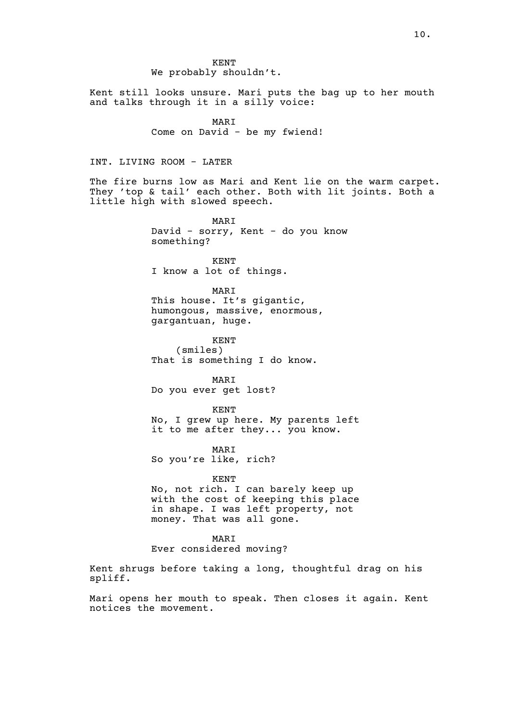KENT We probably shouldn't.

Kent still looks unsure. Mari puts the bag up to her mouth and talks through it in a silly voice:

> MARI Come on David - be my fwiend!

# INT. LIVING ROOM - LATER

The fire burns low as Mari and Kent lie on the warm carpet. They 'top & tail' each other. Both with lit joints. Both a little high with slowed speech.

> MARI David - sorry, Kent - do you know something?

KENT I know a lot of things.

MARI This house. It's gigantic, humongous, massive, enormous, gargantuan, huge.

KENT (smiles) That is something I do know.

MARI Do you ever get lost?

KENT No, I grew up here. My parents left it to me after they... you know.

MARI So you're like, rich?

#### KENT

No, not rich. I can barely keep up with the cost of keeping this place in shape. I was left property, not money. That was all gone.

MARI

Ever considered moving?

Kent shrugs before taking a long, thoughtful drag on his spliff.

Mari opens her mouth to speak. Then closes it again. Kent notices the movement.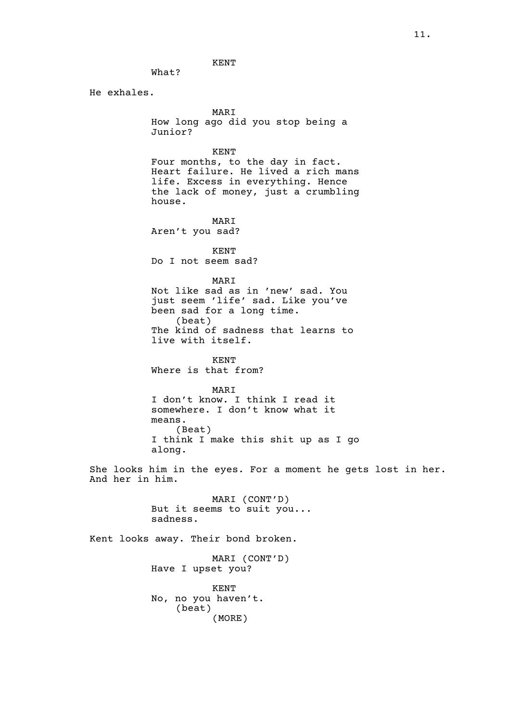He exhales.

What?

MARI How long ago did you stop being a Junior?

KENT

Four months, to the day in fact. Heart failure. He lived a rich mans life. Excess in everything. Hence the lack of money, just a crumbling house.

MARI Aren't you sad?

KENT Do I not seem sad?

MARI

Not like sad as in 'new' sad. You just seem 'life' sad. Like you've been sad for a long time. (beat) The kind of sadness that learns to live with itself.

KENT Where is that from?

MARI

I don't know. I think I read it somewhere. I don't know what it means. (Beat) I think I make this shit up as I go along.

She looks him in the eyes. For a moment he gets lost in her. And her in him.

> MARI (CONT'D) But it seems to suit you... sadness.

Kent looks away. Their bond broken. MARI (CONT'D) Have I upset you? KENT No, no you haven't. (beat) (MORE)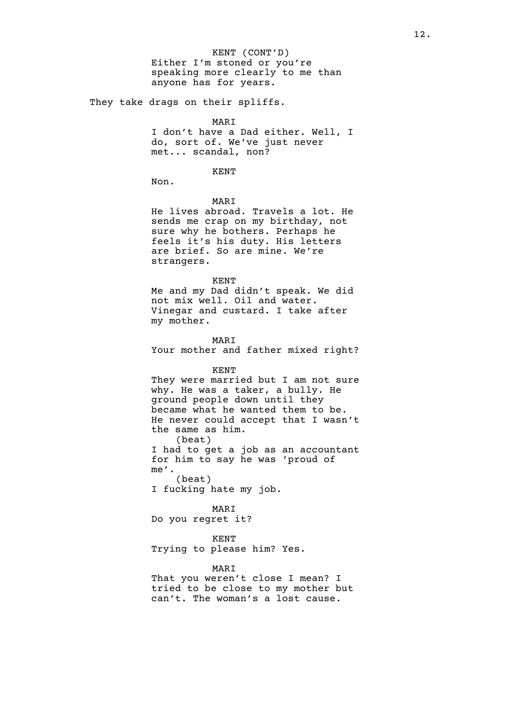KENT (CONT'D) Either I'm stoned or you're speaking more clearly to me than anyone has for years.

They take drags on their spliffs.

#### MARI

I don't have a Dad either. Well, I do, sort of. We've just never met... scandal, non?

# KENT

Non.

MARI

He lives abroad. Travels a lot. He sends me crap on my birthday, not sure why he bothers. Perhaps he feels it's his duty. His letters are brief. So are mine. We're strangers.

#### KENT

Me and my Dad didn't speak. We did not mix well. Oil and water. Vinegar and custard. I take after my mother.

MARI Your mother and father mixed right?

#### KENT

They were married but I am not sure why. He was a taker, a bully. He ground people down until they became what he wanted them to be. He never could accept that I wasn't the same as him. (beat) I had to get a job as an accountant

for him to say he was 'proud of me'. (beat)

I fucking hate my job.

#### MARI

Do you regret it?

### KENT

Trying to please him? Yes.

# MARI

That you weren't close I mean? I tried to be close to my mother but can't. The woman's a lost cause.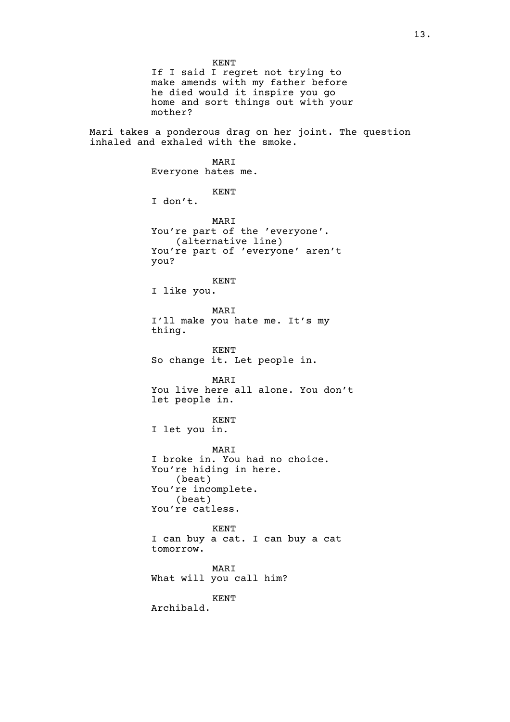If I said I regret not trying to make amends with my father before he died would it inspire you go home and sort things out with your mother?

Mari takes a ponderous drag on her joint. The question inhaled and exhaled with the smoke.

# MARI

Everyone hates me.

# KENT

I don't.

MARI You're part of the 'everyone'. (alternative line) You're part of 'everyone' aren't you?

# KENT

I like you.

#### MARI

I'll make you hate me. It's my thing.

KENT So change it. Let people in.

MARI You live here all alone. You don't let people in.

### KENT

I let you in.

MARI I broke in. You had no choice. You're hiding in here. (beat) You're incomplete. (beat) You're catless.

KENT I can buy a cat. I can buy a cat tomorrow.

### MARI What will you call him?

KENT

Archibald.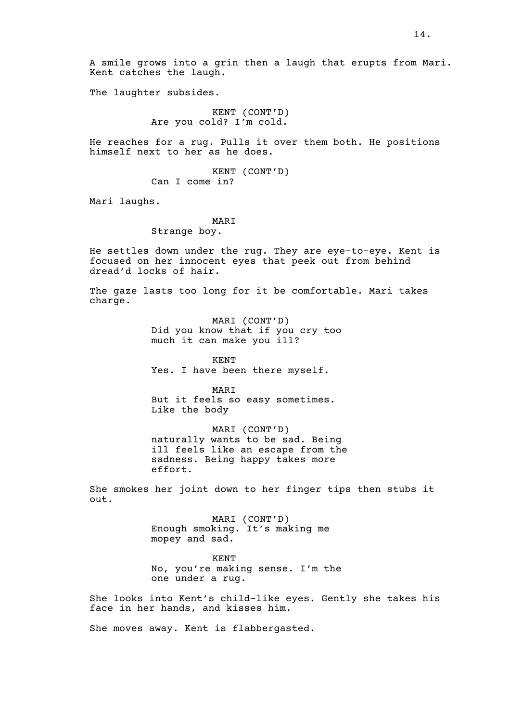A smile grows into a grin then a laugh that erupts from Mari. Kent catches the laugh.

The laughter subsides.

KENT (CONT'D) Are you cold? I'm cold.

He reaches for a rug. Pulls it over them both. He positions himself next to her as he does.

> KENT (CONT'D) Can I come in?

Mari laughs.

### MARI

# Strange boy.

He settles down under the rug. They are eye-to-eye. Kent is focused on her innocent eyes that peek out from behind dread'd locks of hair.

The gaze lasts too long for it be comfortable. Mari takes charge.

> MARI (CONT'D) Did you know that if you cry too much it can make you ill?

KENT Yes. I have been there myself.

MARI But it feels so easy sometimes. Like the body

MARI (CONT'D) naturally wants to be sad. Being ill feels like an escape from the sadness. Being happy takes more effort.

She smokes her joint down to her finger tips then stubs it out.

> MARI (CONT'D) Enough smoking. It's making me mopey and sad.

KENT No, you're making sense. I'm the one under a rug.

She looks into Kent's child-like eyes. Gently she takes his face in her hands, and kisses him.

She moves away. Kent is flabbergasted.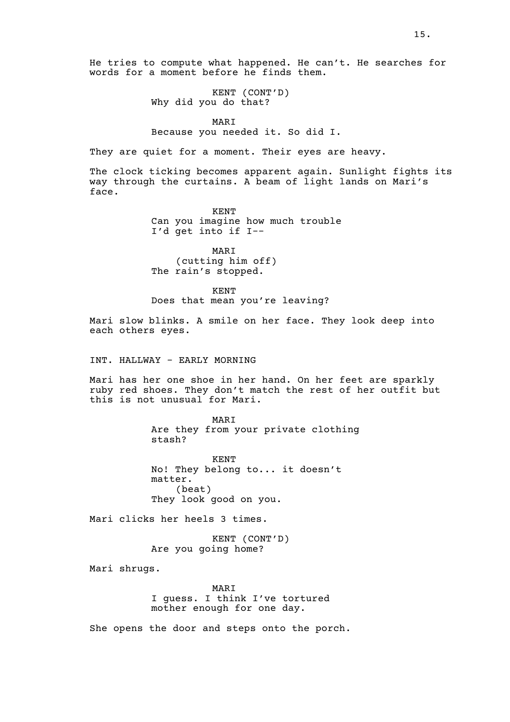He tries to compute what happened. He can't. He searches for words for a moment before he finds them.

> KENT (CONT'D) Why did you do that?

#### MARI

#### Because you needed it. So did I.

They are quiet for a moment. Their eyes are heavy.

The clock ticking becomes apparent again. Sunlight fights its way through the curtains. A beam of light lands on Mari's face.

> KENT Can you imagine how much trouble I'd get into if I--

MARI (cutting him off) The rain's stopped.

KENT

Does that mean you're leaving?

Mari slow blinks. A smile on her face. They look deep into each others eyes.

INT. HALLWAY - EARLY MORNING

Mari has her one shoe in her hand. On her feet are sparkly ruby red shoes. They don't match the rest of her outfit but this is not unusual for Mari.

> MARI Are they from your private clothing stash?

KENT No! They belong to... it doesn't matter. (beat) They look good on you.

Mari clicks her heels 3 times.

KENT (CONT'D) Are you going home?

Mari shrugs.

MARI I guess. I think I've tortured mother enough for one day.

She opens the door and steps onto the porch.